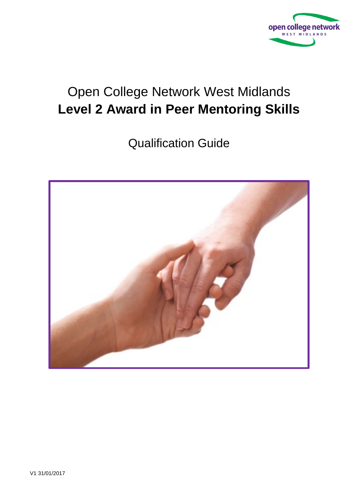

# Open College Network West Midlands **Level 2 Award in Peer Mentoring Skills**

Qualification Guide

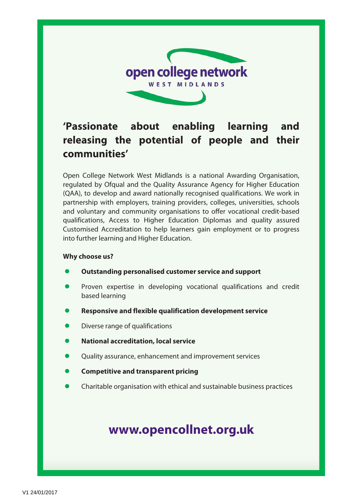

## **'Passionate about enabling learning and releasing the potential of people and their communities'**

Open College Network West Midlands is a national Awarding Organisation, regulated by Ofqual and the Quality Assurance Agency for Higher Education (QAA), to develop and award nationally recognised qualifications. We work in partnership with employers, training providers, colleges, universities, schools and voluntary and community organisations to offer vocational credit-based qualifications, Access to Higher Education Diplomas and quality assured Customised Accreditation to help learners gain employment or to progress into further learning and Higher Education.

#### **Why choose us?**

- **Outstanding personalised customer service and support**
- Proven expertise in developing vocational qualifications and credit based learning
- **Responsive and flexible qualification development service**
- Diverse range of qualifications
- **National accreditation, local service**
- Quality assurance, enhancement and improvement services
- **Competitive and transparent pricing**
- Charitable organisation with ethical and sustainable business practices

## **[www.opencollnet.org.](http://www.ocnwmr.org.uk/)uk**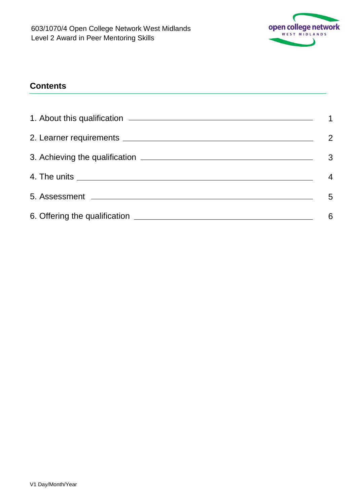

## **Contents**

| 3 |
|---|
| 4 |
| 5 |
| 6 |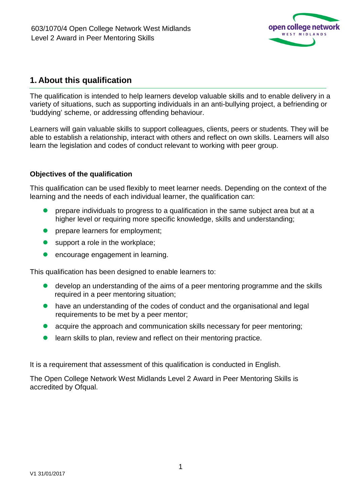

### **1. About this qualification**

The qualification is intended to help learners develop valuable skills and to enable delivery in a variety of situations, such as supporting individuals in an anti-bullying project, a befriending or 'buddying' scheme, or addressing offending behaviour.

Learners will gain valuable skills to support colleagues, clients, peers or students. They will be able to establish a relationship, interact with others and reflect on own skills. Learners will also learn the legislation and codes of conduct relevant to working with peer group.

#### **Objectives of the qualification**

This qualification can be used flexibly to meet learner needs. Depending on the context of the learning and the needs of each individual learner, the qualification can:

- prepare individuals to progress to a qualification in the same subject area but at a higher level or requiring more specific knowledge, skills and understanding;
- **•** prepare learners for employment;
- support a role in the workplace;
- **e** encourage engagement in learning.

This qualification has been designed to enable learners to:

- develop an understanding of the aims of a peer mentoring programme and the skills required in a peer mentoring situation;
- have an understanding of the codes of conduct and the organisational and legal requirements to be met by a peer mentor;
- acquire the approach and communication skills necessary for peer mentoring;
- learn skills to plan, review and reflect on their mentoring practice.

It is a requirement that assessment of this qualification is conducted in English.

The Open College Network West Midlands Level 2 Award in Peer Mentoring Skills is accredited by Ofqual.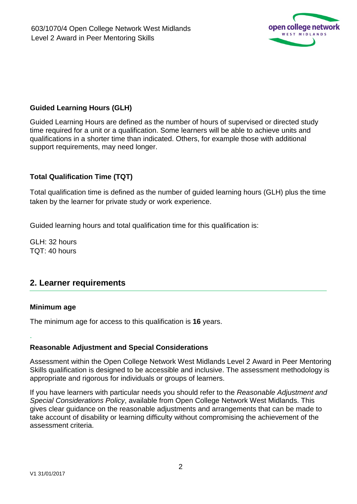

#### **Guided Learning Hours (GLH)**

Guided Learning Hours are defined as the number of hours of supervised or directed study time required for a unit or a qualification. Some learners will be able to achieve units and qualifications in a shorter time than indicated. Others, for example those with additional support requirements, may need longer.

#### **Total Qualification Time (TQT)**

Total qualification time is defined as the number of guided learning hours (GLH) plus the time taken by the learner for private study or work experience.

Guided learning hours and total qualification time for this qualification is:

GLH: 32 hours TQT: 40 hours

### **2. Learner requirements**

#### **Minimum age**

.

The minimum age for access to this qualification is **16** years.

#### **Reasonable Adjustment and Special Considerations**

Assessment within the Open College Network West Midlands Level 2 Award in Peer Mentoring Skills qualification is designed to be accessible and inclusive. The assessment methodology is appropriate and rigorous for individuals or groups of learners.

If you have learners with particular needs you should refer to the *Reasonable Adjustment and Special Considerations Policy*, available from Open College Network West Midlands. This gives clear guidance on the reasonable adjustments and arrangements that can be made to take account of disability or learning difficulty without compromising the achievement of the assessment criteria.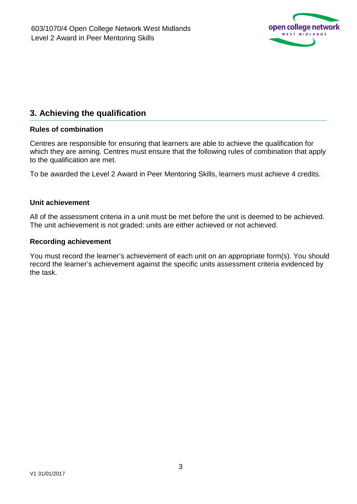

## **3. Achieving the qualification**

#### **Rules of combination**

Centres are responsible for ensuring that learners are able to achieve the qualification for which they are aiming. Centres must ensure that the following rules of combination that apply to the qualification are met.

To be awarded the Level 2 Award in Peer Mentoring Skills, learners must achieve 4 credits.

#### **Unit achievement**

All of the assessment criteria in a unit must be met before the unit is deemed to be achieved. The unit achievement is not graded: units are either achieved or not achieved.

#### **Recording achievement**

You must record the learner's achievement of each unit on an appropriate form(s). You should record the learner's achievement against the specific units assessment criteria evidenced by the task.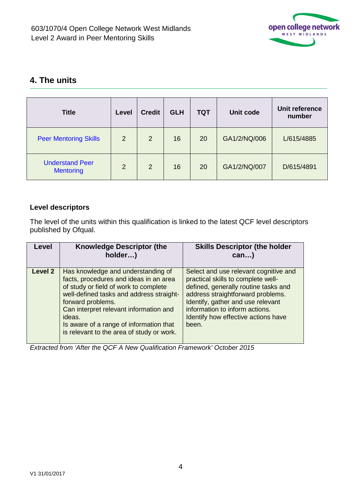

## **4. The units**

| <b>Title</b>                               | Level          | <b>Credit</b>  | <b>GLH</b> | <b>TQT</b> | Unit code    | Unit reference<br>number |
|--------------------------------------------|----------------|----------------|------------|------------|--------------|--------------------------|
| <b>Peer Mentoring Skills</b>               | $\overline{2}$ | $\overline{2}$ | 16         | 20         | GA1/2/NQ/006 | L/615/4885               |
| <b>Understand Peer</b><br><b>Mentoring</b> | 2              | $\overline{2}$ | 16         | 20         | GA1/2/NQ/007 | D/615/4891               |

#### **Level descriptors**

The level of the units within this qualification is linked to the latest QCF level descriptors published by Ofqual.

| Level   | <b>Knowledge Descriptor (the</b><br>holder)                                                                                                                                                                                                                                                                                        | <b>Skills Descriptor (the holder</b><br>$can$ )                                                                                                                                                                                                                                 |
|---------|------------------------------------------------------------------------------------------------------------------------------------------------------------------------------------------------------------------------------------------------------------------------------------------------------------------------------------|---------------------------------------------------------------------------------------------------------------------------------------------------------------------------------------------------------------------------------------------------------------------------------|
| Level 2 | Has knowledge and understanding of<br>facts, procedures and ideas in an area<br>of study or field of work to complete<br>well-defined tasks and address straight-<br>forward problems.<br>Can interpret relevant information and<br>ideas.<br>Is aware of a range of information that<br>is relevant to the area of study or work. | Select and use relevant cognitive and<br>practical skills to complete well-<br>defined, generally routine tasks and<br>address straightforward problems.<br>Identify, gather and use relevant<br>information to inform actions.<br>Identify how effective actions have<br>been. |

*Extracted from 'After the QCF A New Qualification Framework' October 2015*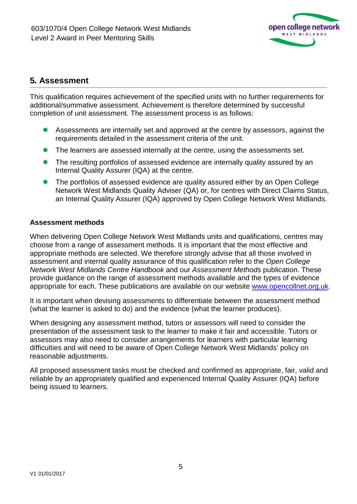

### **5***.* **Assessment**

This qualification requires achievement of the specified units with no further requirements for additional/summative assessment. Achievement is therefore determined by successful completion of unit assessment. The assessment process is as follows:

- Assessments are internally set and approved at the centre by assessors, against the requirements detailed in the assessment criteria of the unit.
- The learners are assessed internally at the centre, using the assessments set.
- The resulting portfolios of assessed evidence are internally quality assured by an Internal Quality Assurer (IQA) at the centre.
- The portfolios of assessed evidence are quality assured either by an Open College Network West Midlands Quality Adviser (QA) or, for centres with Direct Claims Status, an Internal Quality Assurer (IQA) approved by Open College Network West Midlands.

#### **Assessment methods**

When delivering Open College Network West Midlands units and qualifications, centres may choose from a range of assessment methods. It is important that the most effective and appropriate methods are selected. We therefore strongly advise that all those involved in assessment and internal quality assurance of this qualification refer to the *Open College Network West Midlands Centre Handbook* and our *Assessment Methods* publication. These provide guidance on the range of assessment methods available and the types of evidence appropriate for each. These publications are available on our website [www.opencollnet.org.uk.](http://www.opencollnet.org.uk/)

It is important when devising assessments to differentiate between the assessment method (what the learner is asked to do) and the evidence (what the learner produces).

When designing any assessment method, tutors or assessors will need to consider the presentation of the assessment task to the learner to make it fair and accessible. Tutors or assessors may also need to consider arrangements for learners with particular learning difficulties and will need to be aware of Open College Network West Midlands' policy on reasonable adjustments.

All proposed assessment tasks must be checked and confirmed as appropriate, fair, valid and reliable by an appropriately qualified and experienced Internal Quality Assurer (IQA) before being issued to learners.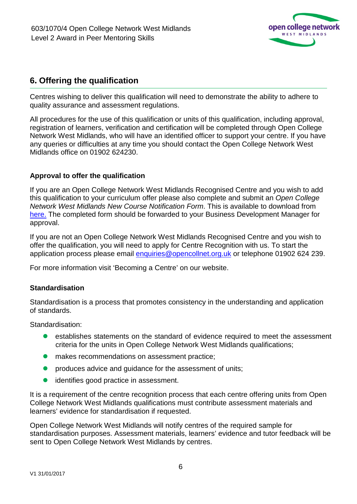

## **6. Offering the qualification**

Centres wishing to deliver this qualification will need to demonstrate the ability to adhere to quality assurance and assessment regulations.

All procedures for the use of this qualification or units of this qualification, including approval, registration of learners, verification and certification will be completed through Open College Network West Midlands, who will have an identified officer to support your centre. If you have any queries or difficulties at any time you should contact the Open College Network West Midlands office on 01902 624230.

#### **Approval to offer the qualification**

If you are an Open College Network West Midlands Recognised Centre and you wish to add this qualification to your curriculum offer please also complete and submit an *Open College Network West Midlands New Course Notification Form*. This is available to download from [here.](http://www.opencollnet.org.uk/centres/creating-new-courses) The completed form should be forwarded to your Business Development Manager for approval.

If you are not an Open College Network West Midlands Recognised Centre and you wish to offer the qualification, you will need to apply for Centre Recognition with us. To start the application process please email [enquiries@opencollnet.org.uk](mailto:enquiries@opencollnet.org.uk) or telephone 01902 624 239.

For more information visit 'Becoming a Centre' on our website.

#### **Standardisation**

Standardisation is a process that promotes consistency in the understanding and application of standards.

Standardisation:

- establishes statements on the standard of evidence required to meet the assessment criteria for the units in Open College Network West Midlands qualifications;
- **.** makes recommendations on assessment practice;
- produces advice and guidance for the assessment of units;
- **•** identifies good practice in assessment.

It is a requirement of the centre recognition process that each centre offering units from Open College Network West Midlands qualifications must contribute assessment materials and learners' evidence for standardisation if requested.

Open College Network West Midlands will notify centres of the required sample for standardisation purposes. Assessment materials, learners' evidence and tutor feedback will be sent to Open College Network West Midlands by centres.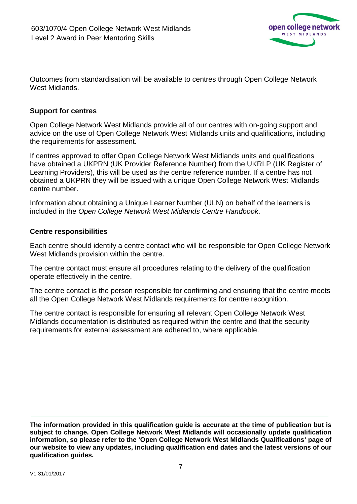

Outcomes from standardisation will be available to centres through Open College Network West Midlands.

#### **Support for centres**

Open College Network West Midlands provide all of our centres with on-going support and advice on the use of Open College Network West Midlands units and qualifications, including the requirements for assessment.

If centres approved to offer Open College Network West Midlands units and qualifications have obtained a UKPRN (UK Provider Reference Number) from the UKRLP (UK Register of Learning Providers), this will be used as the centre reference number. If a centre has not obtained a UKPRN they will be issued with a unique Open College Network West Midlands centre number.

Information about obtaining a Unique Learner Number (ULN) on behalf of the learners is included in the *Open College Network West Midlands Centre Handbook*.

#### **Centre responsibilities**

Each centre should identify a centre contact who will be responsible for Open College Network West Midlands provision within the centre.

The centre contact must ensure all procedures relating to the delivery of the qualification operate effectively in the centre.

The centre contact is the person responsible for confirming and ensuring that the centre meets all the Open College Network West Midlands requirements for centre recognition.

The centre contact is responsible for ensuring all relevant Open College Network West Midlands documentation is distributed as required within the centre and that the security requirements for external assessment are adhered to, where applicable.

**The information provided in this qualification guide is accurate at the time of publication but is subject to change. Open College Network West Midlands will occasionally update qualification information, so please refer to the 'Open College Network West Midlands Qualifications' page of our website to view any updates, including qualification end dates and the latest versions of our qualification guides.**